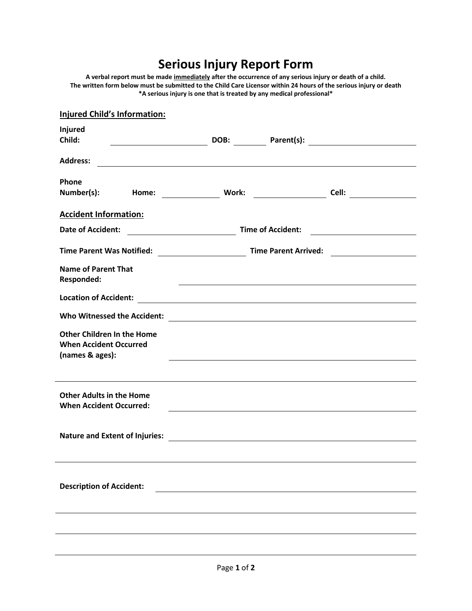## **Serious Injury Report Form**

**A verbal report must be made immediately after the occurrence of any serious injury or death of a child. The written form below must be submitted to the Child Care Licensor within 24 hours of the serious injury or death \*A serious injury is one that is treated by any medical professional\***

| <b>Injured Child's Information:</b>                                          |                                                                                                                      |                          |                                          |
|------------------------------------------------------------------------------|----------------------------------------------------------------------------------------------------------------------|--------------------------|------------------------------------------|
| <b>Injured</b><br>Child:                                                     |                                                                                                                      |                          | DOB: Parent(s): 2008.                    |
|                                                                              |                                                                                                                      |                          |                                          |
| <b>Address:</b>                                                              |                                                                                                                      |                          |                                          |
| <b>Phone</b>                                                                 |                                                                                                                      |                          |                                          |
| Number(s):<br>Home:                                                          | Work:                                                                                                                |                          | Cell: $\qquad \qquad$                    |
| <b>Accident Information:</b>                                                 |                                                                                                                      |                          |                                          |
| <b>Date of Accident:</b><br><u> 1980 - Johann Barbara, martxa amerikan p</u> |                                                                                                                      | <b>Time of Accident:</b> | <u> 1989 - Johann Marie Barn, mars a</u> |
| <b>Time Parent Was Notified:</b>                                             | Time Parent Arrived:                                                                                                 |                          |                                          |
| <b>Name of Parent That</b><br><b>Responded:</b>                              | <u> 1989 - Johann Barbara, marka a shekara ta 1989 - An tsara tsa 1989 - An tsara tsa 1989 - An tsara tsa 1989 -</u> |                          |                                          |
| <b>Location of Accident:</b>                                                 |                                                                                                                      |                          |                                          |
| <b>Who Witnessed the Accident:</b>                                           |                                                                                                                      |                          |                                          |
| <b>Other Children In the Home</b><br><b>When Accident Occurred</b>           |                                                                                                                      |                          |                                          |
| (names & ages):                                                              |                                                                                                                      |                          |                                          |
| <b>Other Adults in the Home</b><br><b>When Accident Occurred:</b>            |                                                                                                                      |                          |                                          |
| <b>Nature and Extent of Injuries:</b>                                        | <u> 1989 - Andrea Station Barbara, amerikan per</u>                                                                  |                          |                                          |
|                                                                              |                                                                                                                      |                          |                                          |
| <b>Description of Accident:</b>                                              |                                                                                                                      |                          |                                          |
|                                                                              |                                                                                                                      |                          |                                          |
|                                                                              |                                                                                                                      |                          |                                          |
|                                                                              |                                                                                                                      |                          |                                          |